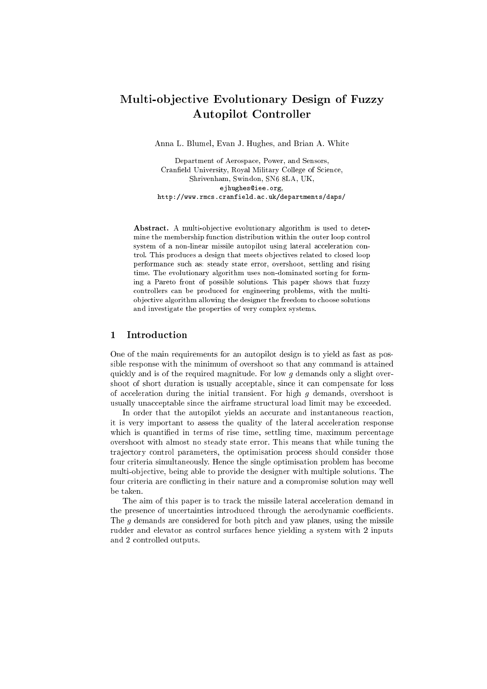# Multi-ob jective Evolutionary Design of Fuzzy Autopilot Controller

Anna L. Blumel, Evan J. Hughes, and Brian A. White

Department of Aerospace, Power, and Sensors, Craneld University, Royal Military College of Science, Shrivenham, Swindon, SN6 8LA, UK, ejhughes@iee.org, http://www.rmcs.cranfield.ac.uk/departments/daps/

Abstract. A multi-objective evolutionary algorithm is used to determine the membership function distribution within the outer loop control system of a non-linear missile autopilot using lateral acceleration control. This produces a design that meets ob jectives related to closed loop performance such as: steady state error, overshoot, settling and rising time. The evolutionary algorithm uses non-dominated sorting for forming a Pareto front of possible solutions. This paper shows that fuzzy controllers can be produced for engineering problems, with the multiob jective algorithm allowing the designer the freedom to choose solutions and investigate the properties of very complex systems.

### 1 Introduction

One of the main requirements for an autopilot design is to yield as fast as possible response with the minimum of overshoot so that any command is attained quickly and is of the required magnitude. For low  $g$  demands only a slight overshoot of short duration is usually acceptable, since it can compensate for loss of acceleration during the initial transient. For high  $g$  demands, overshoot is usually unacceptable since the airframe structural load limit may be exceeded.

In order that the autopilot yields an accurate and instantaneous reaction, it is very important to assess the quality of the lateral acceleration response which is quantied in terms of rise time, settling time, maximum percentage overshoot with almost no steady state error. This means that while tuning the tra jectory control parameters, the optimisation process should consider those four criteria simultaneously. Hence the single optimisation problem has become multi-ob jective, being able to provide the designer with multiple solutions. The four criteria are conflicting in their nature and a compromise solution may well be taken.

The aim of this paper is to track the missile lateral acceleration demand in the presence of uncertainties introduced through the aerodynamic coefficients. The  $g$  demands are considered for both pitch and yaw planes, using the missile rudder and elevator as control surfaces hence yielding a system with 2 inputs and 2 controlled outputs.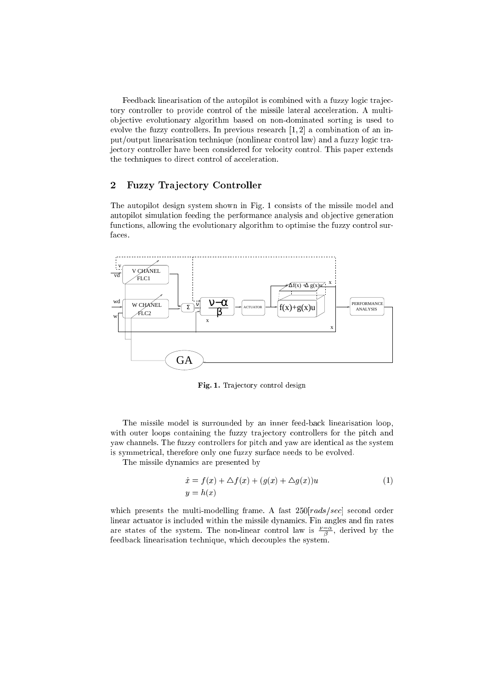Feedback linearisation of the autopilot is combined with a fuzzy logic tra jectory controller to provide control of the missile lateral acceleration. A multiob jective evolutionary algorithm based on non-dominated sorting is used to evolve the fuzzy controllers. In previous research [1, 2] a combination of an input/output linearisation technique (nonlinear control law) and a fuzzy logic trajectory controller have been considered for velocity control. This paper extends the techniques to direct control of acceleration.

## 2 Fuzzy Tra jectory Controller

The autopilot design system shown in Fig. 1 consists of the missile model and autopilot simulation feeding the performance analysis and objective generation functions, allowing the evolutionary algorithm to optimise the fuzzy control surfaces.



Fig. 1. Trajectory control design

The missile model is surrounded by an inner feed-back linearisation loop, with outer loops containing the fuzzy trajectory controllers for the pitch and yaw channels. The fuzzy controllers for pitch and yaw are identical as the system is symmetrical, therefore only one fuzzy surface needs to be evolved.

The missile dynamics are presented by

$$
\begin{aligned} \dot{x} &= f(x) + \Delta f(x) + (g(x) + \Delta g(x))u \\ y &= h(x) \end{aligned} \tag{1}
$$

which presents the multi-modelling frame. A fast  $250[rads/sec]$  second order linear actuator is included within the missile dynamics. Fin angles and fin rates are states of the system. The non-linear control law is  $\frac{1}{\beta}$ , derived by the feedback linearisation technique, which decouples the system.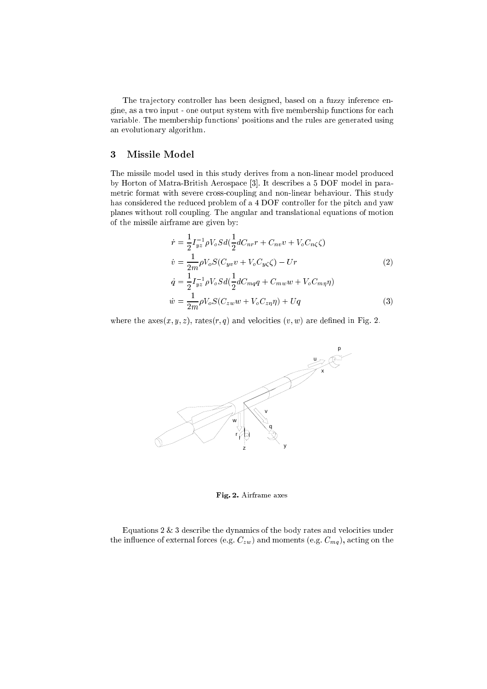The trajectory controller has been designed, based on a fuzzy inference engine, as a two input - one output system with five membership functions for each variable. The membership functions' positions and the rules are generated using an evolutionary algorithm.

## 3 Missile Model

The missile model used in this study derives from a non-linear model produced by Horton of Matra-British Aerospace [3]. It describes a 5 DOF model in parametric format with severe cross-coupling and non-linear behaviour. This study has considered the reduced problem of a 4 DOF controller for the pitch and yaw planes without roll coupling. The angular and translational equations of motion of the missile airframe are given by:

$$
\dot{r} = \frac{1}{2} I_{yz}^{-1} \rho V_o S d(\frac{1}{2} dC_{nr} r + C_{nv} v + V_o C_{n\zeta} \zeta)
$$
  
\n
$$
\dot{v} = \frac{1}{2m} \rho V_o S (C_{yv} v + V_o C_{y\zeta} \zeta) - Ur
$$
  
\n
$$
\dot{q} = \frac{1}{2} I_{yz}^{-1} \rho V_o S d(\frac{1}{2} dC_{mq} q + C_{mw} w + V_o C_{m\eta} \eta)
$$
  
\n
$$
\dot{w} = \frac{1}{2m} \rho V_o S (C_{zw} w + V_o C_{z\eta} \eta) + U q
$$
\n(3)

where the  $axes(x, y, z)$ , rates $(r, q)$  and velocities  $(v, w)$  are defined in Fig. 2.



Fig. 2. Airframe axes

Equations 2 & 3 describe the dynamics of the body rates and velocities under the influence of external forces (e.g.  $C_{zw}$ ) and moments (e.g.  $C_{mq}$ ), acting on the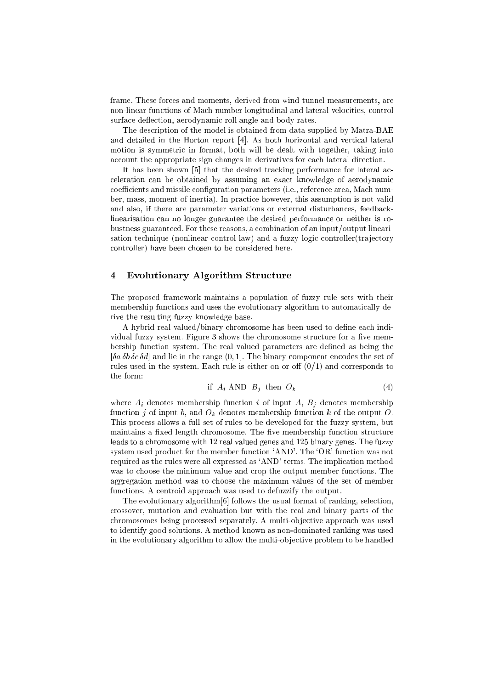frame. These forces and moments, derived from wind tunnel measurements, are non-linear functions of Mach number longitudinal and lateral velocities, control surface deflection, aerodynamic roll angle and body rates.

The description of the model is obtained from data supplied by Matra-BAE and detailed in the Horton report [4]. As both horizontal and vertical lateral motion is symmetric in format, both will be dealt with together, taking into account the appropriate sign changes in derivatives for each lateral direction.

It has been shown [5] that the desired tracking performance for lateral acceleration can be obtained by assuming an exact knowledge of aerodynamic coefficients and missile configuration parameters (i.e., reference area, Mach number, mass, moment of inertia). In practice however, this assumption is not valid and also, if there are parameter variations or external disturbances, feedbacklinearisation can no longer guarantee the desired performance or neither is robustness guaranteed. For these reasons, a combination of an input/output linearisation technique (nonlinear control law) and a fuzzy logic controller(trajectory controller) have been chosen to be considered here.

### 4 Evolutionary Algorithm Structure

The proposed framework maintains a population of fuzzy rule sets with their membership functions and uses the evolutionary algorithm to automatically derive the resulting fuzzy knowledge base.

A hybrid real valued/binary chromosome has been used to define each individual fuzzy system. Figure  $3$  shows the chromosome structure for a five membership function system. The real valued parameters are defined as being the  $[\delta a \delta b \delta c \delta d]$  and lie in the range  $(0, 1]$ . The binary component encodes the set of rules used in the system. Each rule is either on or off  $(0/1)$  and corresponds to the form:

$$
\text{if } A_i \text{ AND } B_j \text{ then } O_k \tag{4}
$$

where  $A_i$  denotes membership function i of input  $A, B_i$  denotes membership function j of input b, and  $O_k$  denotes membership function k of the output O. This process allows a full set of rules to be developed for the fuzzy system, but maintains a fixed length chromosome. The five membership function structure leads to a chromosome with 12 real valued genes and 125 binary genes. The fuzzy system used product for the member function `AND'. The `OR' function was not required as the rules were all expressed as `AND' terms. The implication method was to choose the minimum value and crop the output member functions. The aggregation method was to choose the maximum values of the set of member functions. A centroid approach was used to defuzzify the output.

The evolutionary algorithm[6] follows the usual format of ranking, selection, crossover, mutation and evaluation but with the real and binary parts of the chromosomes being processed separately. A multi-objective approach was used to identify good solutions. A method known as non-dominated ranking was used in the evolutionary algorithm to allow the multi-ob jective problem to be handled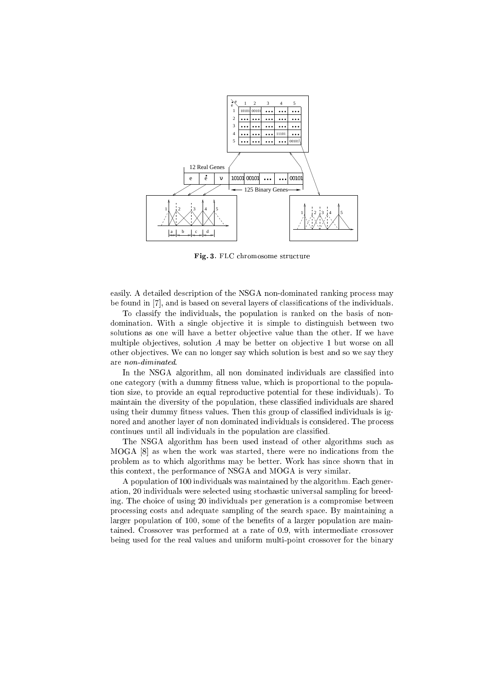

Fig. 3. FLC chromosome structure

easily. A detailed description of the NSGA non-dominated ranking process may be found in [7], and is based on several layers of classications of the individuals.

To classify the individuals, the population is ranked on the basis of nondomination. With a single objective it is simple to distinguish between two solutions as one will have a better objective value than the other. If we have multiple objectives, solution  $A$  may be better on objective 1 but worse on all other ob jectives. We can no longer say which solution is best and so we say they are non-diminated.

In the NSGA algorithm, all non dominated individuals are classified into one category (with a dummy fitness value, which is proportional to the population size, to provide an equal reproductive potential for these individuals). To maintain the diversity of the population, these classied individuals are shared using their dummy fitness values. Then this group of classified individuals is ignored and another layer of non dominated individuals is considered. The process continues until all individuals in the population are classied.

The NSGA algorithm has been used instead of other algorithms such as MOGA [8] as when the work was started, there were no indications from the problem as to which algorithms may be better. Work has since shown that in this context, the performance of NSGA and MOGA is very similar.

A population of 100 individuals was maintained by the algorithm. Each generation, 20 individuals were selected using stochastic universal sampling for breeding. The choice of using 20 individuals per generation is a compromise between processing costs and adequate sampling of the search space. By maintaining a larger population of 100, some of the benefits of a larger population are maintained. Crossover was performed at a rate of 0.9, with intermediate crossover being used for the real values and uniform multi-point crossover for the binary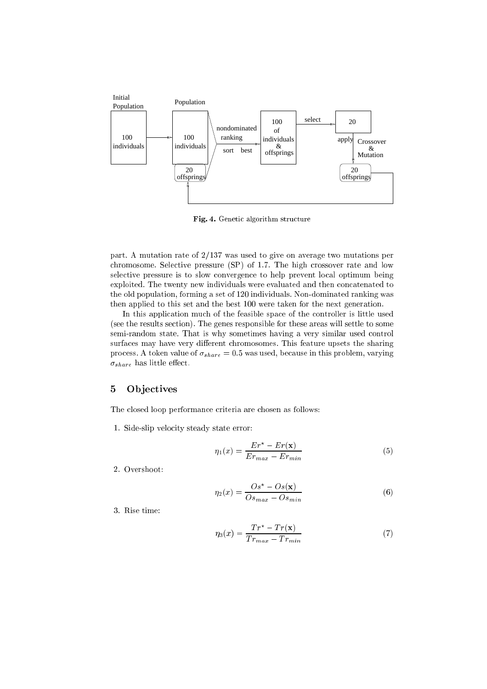

Fig. 4. Genetic algorithm structure

part. A mutation rate of  $2/137$  was used to give on average two mutations per chromosome. Selective pressure (SP) of 1:7. The high crossover rate and low selective pressure is to slow convergence to help prevent local optimum being exploited. The twenty new individuals were evaluated and then concatenated to the old population, forming a set of 120 individuals. Non-dominated ranking was then applied to this set and the best 100 were taken for the next generation.

In this application much of the feasible space of the controller is little used (see the results section). The genes responsible for these areas will settle to some semi-random state. That is why sometimes having a very similar used control surfaces may have very different chromosomes. This feature upsets the sharing process. A token value of  $\sigma_{share} = 0.5$  was used, because in this problem, varying  $\sigma_{share}$  has little effect.

### 5 Ob jectives

The closed loop performance criteria are chosen as follows:

1. Side-slip velocity steady state error:

$$
\eta_1(x) = \frac{Er^* - Er(\mathbf{x})}{Er_{max} - Er_{min}}\tag{5}
$$

2. Overshoot:

$$
\eta_2(x) = \frac{Os^\star - Os(\mathbf{x})}{Os_{max} - Os_{min}}\tag{6}
$$

3. Rise time:

$$
\eta_3(x) = \frac{Tr^* - Tr(\mathbf{x})}{Tr_{max} - Tr_{min}}\tag{7}
$$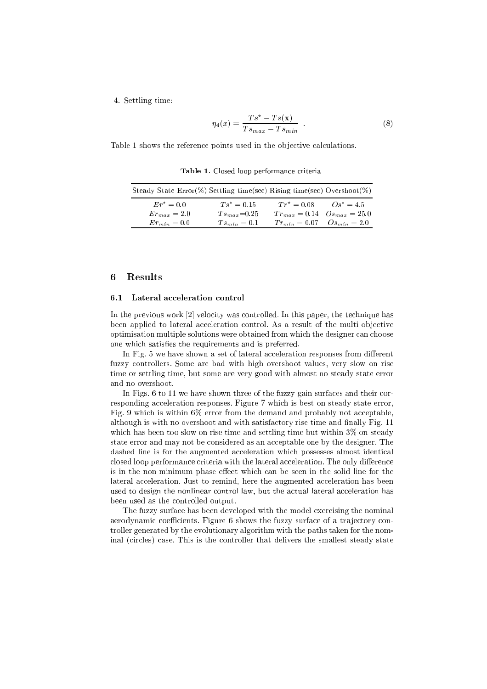4. Settling time:

$$
\eta_4(x) = \frac{T s^* - T s(\mathbf{x})}{T s_{max} - T s_{min}} \tag{8}
$$

Table 1 shows the reference points used in the ob jective calculations.

Table 1. Closed loop performance criteria

| Steady State Error(%) Settling time(sec) Rising time(sec) Overshoot(%) |                 |                                    |                                     |
|------------------------------------------------------------------------|-----------------|------------------------------------|-------------------------------------|
| $Er^* = 0.0$                                                           | $Ts^* = 0.15$   | $Tr^* = 0.08$                      | $Os^* = 4.5$                        |
| $Er_{max}=2.0$                                                         | $T_{Smax}=0.25$ |                                    | $Tr_{max} = 0.14$ $Os_{max} = 25.0$ |
| $Er_{min}=0.0$                                                         | $Ts_{min}=0.1$  | $Tr_{min} = 0.07$ $Os_{min} = 2.0$ |                                     |

### 6 Results

### $6.1$ Lateral acceleration control

In the previous work [2] velocity was controlled. In this paper, the technique has been applied to lateral acceleration control. As a result of the multi-ob jective optimisation multiple solutions were obtained from which the designer can choose one which satisfies the requirements and is preferred.

In Fig. 5 we have shown a set of lateral acceleration responses from different fuzzy controllers. Some are bad with high overshoot values, very slow on rise time or settling time, but some are very good with almost no steady state error and no overshoot.

In Figs. 6 to 11 we have shown three of the fuzzy gain surfaces and their corresponding acceleration responses. Figure 7 which is best on steady state error, Fig. 9 which is within 6% error from the demand and probably not acceptable, although is with no overshoot and with satisfactory rise time and finally Fig. 11 which has been too slow on rise time and settling time but within 3% on steady state error and may not be considered as an acceptable one by the designer. The dashed line is for the augmented acceleration which possesses almost identical closed loop performance criteria with the lateral acceleration. The only difference is in the non-minimum phase effect which can be seen in the solid line for the lateral acceleration. Just to remind, here the augmented acceleration has been used to design the nonlinear control law, but the actual lateral acceleration has been used as the controlled output.

The fuzzy surface has been developed with the model exercising the nominal aerodynamic coefficients. Figure 6 shows the fuzzy surface of a trajectory controller generated by the evolutionary algorithm with the paths taken for the nominal (circles) case. This is the controller that delivers the smallest steady state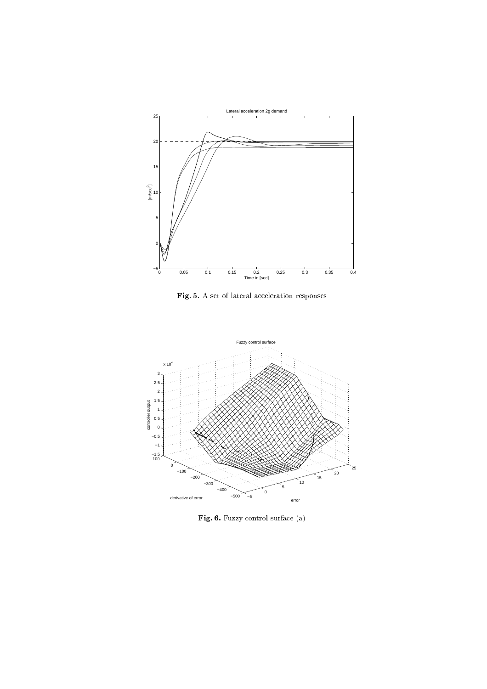

Fig. 5. A set of lateral acceleration responses



Fig. 6. Fuzzy control surface (a)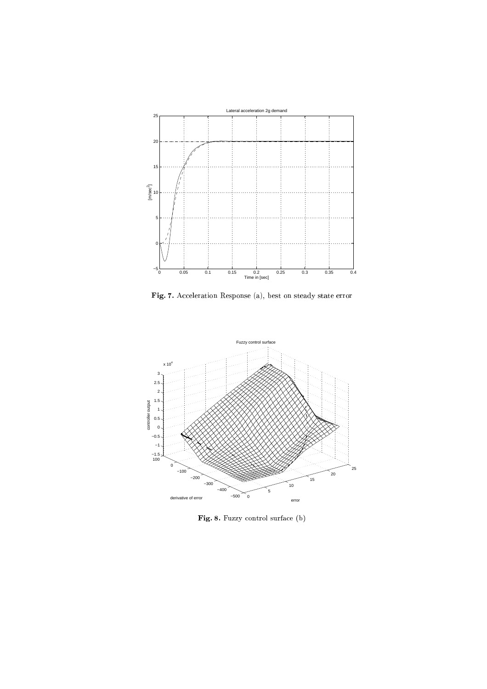

Fig. 7. Acceleration Response (a), best on steady state error



Fig. 8. Fuzzy control surface (b)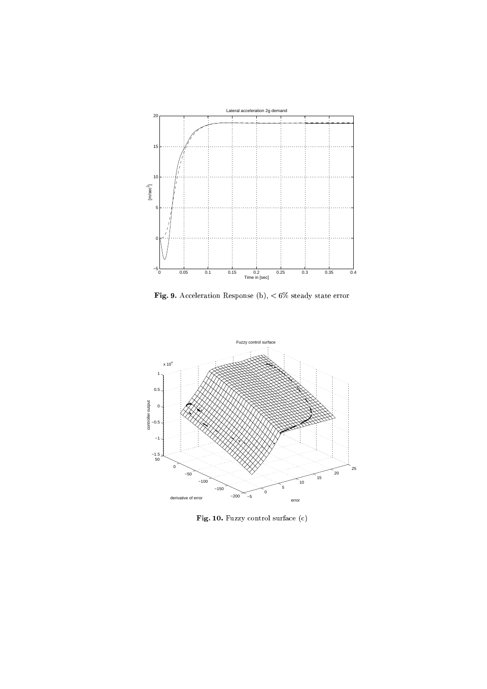

Fig. 9. Acceleration Response (b), <sup>&</sup>lt; 6% steady state error



Fig. 10. Fuzzy control surface (c)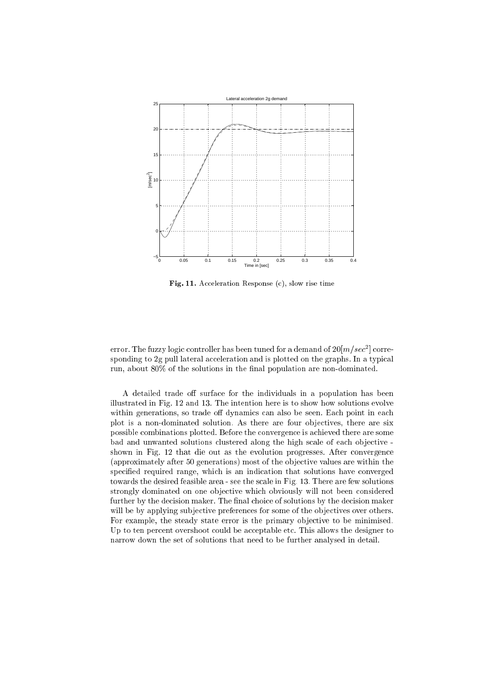

Fig. 11. Acceleration Response (c), slow rise time

error. The fuzzy logic controller has been tuned for a demand of  $\it{z}$ 0[m /  $\it{sec}$  ] corresponding to 2g pull lateral acceleration and is plotted on the graphs. In a typical run, about 80% of the solutions in the final population are non-dominated.

A detailed trade off surface for the individuals in a population has been illustrated in Fig. 12 and 13. The intention here is to show how solutions evolve within generations, so trade off dynamics can also be seen. Each point in each plot is a non-dominated solution. As there are four objectives, there are six possible combinations plotted. Before the convergence is achieved there are some bad and unwanted solutions clustered along the high scale of each ob jective shown in Fig. 12 that die out as the evolution progresses. After convergence (approximately after 50 generations) most of the ob jective values are within the specied required range, which is an indication that solutions have converged towards the desired feasible area - see the scale in Fig. 13. There are few solutions strongly dominated on one objective which obviously will not been considered further by the decision maker. The final choice of solutions by the decision maker will be by applying subjective preferences for some of the objectives over others. For example, the steady state error is the primary objective to be minimised. Up to ten percent overshoot could be acceptable etc. This allows the designer to narrow down the set of solutions that need to be further analysed in detail.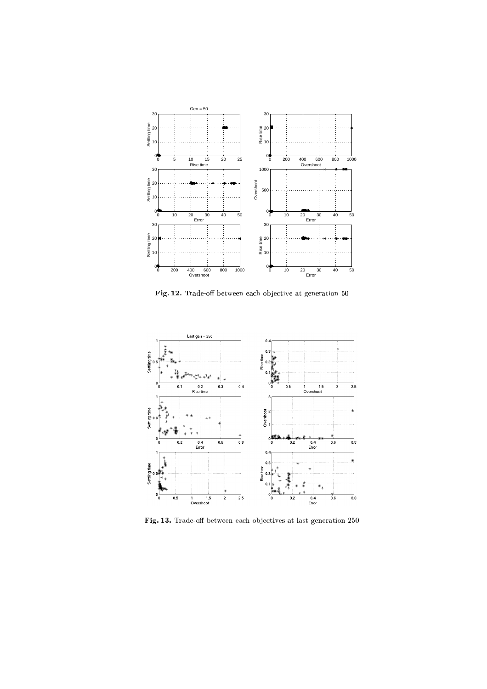

Fig. 12. Trade-off between each objective at generation  $50\,$ 



Fig. 13. Trade-off between each objectives at last generation 250